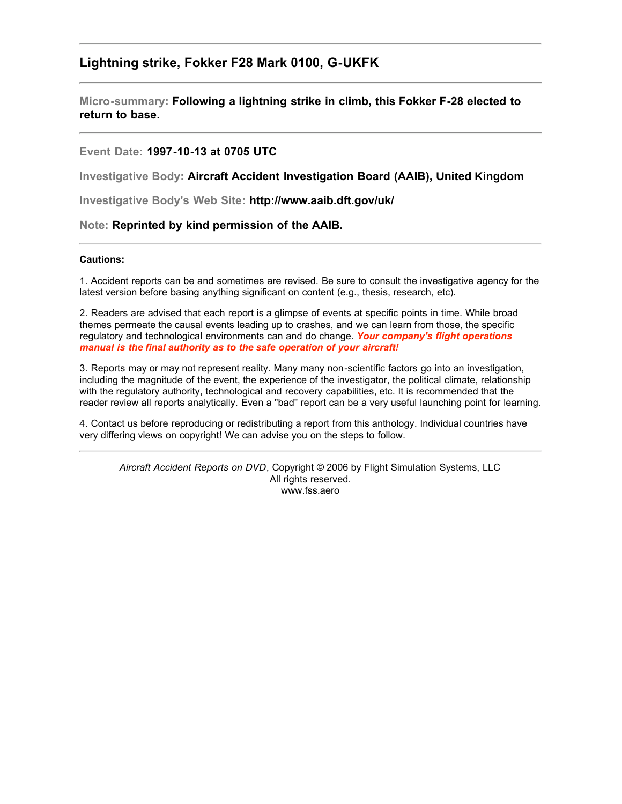## **Lightning strike, Fokker F28 Mark 0100, G-UKFK**

**Micro-summary: Following a lightning strike in climb, this Fokker F-28 elected to return to base.**

### **Event Date: 1997-10-13 at 0705 UTC**

**Investigative Body: Aircraft Accident Investigation Board (AAIB), United Kingdom**

**Investigative Body's Web Site: http://www.aaib.dft.gov/uk/**

#### **Note: Reprinted by kind permission of the AAIB.**

#### **Cautions:**

1. Accident reports can be and sometimes are revised. Be sure to consult the investigative agency for the latest version before basing anything significant on content (e.g., thesis, research, etc).

2. Readers are advised that each report is a glimpse of events at specific points in time. While broad themes permeate the causal events leading up to crashes, and we can learn from those, the specific regulatory and technological environments can and do change. *Your company's flight operations manual is the final authority as to the safe operation of your aircraft!*

3. Reports may or may not represent reality. Many many non-scientific factors go into an investigation, including the magnitude of the event, the experience of the investigator, the political climate, relationship with the regulatory authority, technological and recovery capabilities, etc. It is recommended that the reader review all reports analytically. Even a "bad" report can be a very useful launching point for learning.

4. Contact us before reproducing or redistributing a report from this anthology. Individual countries have very differing views on copyright! We can advise you on the steps to follow.

*Aircraft Accident Reports on DVD*, Copyright © 2006 by Flight Simulation Systems, LLC All rights reserved. www.fss.aero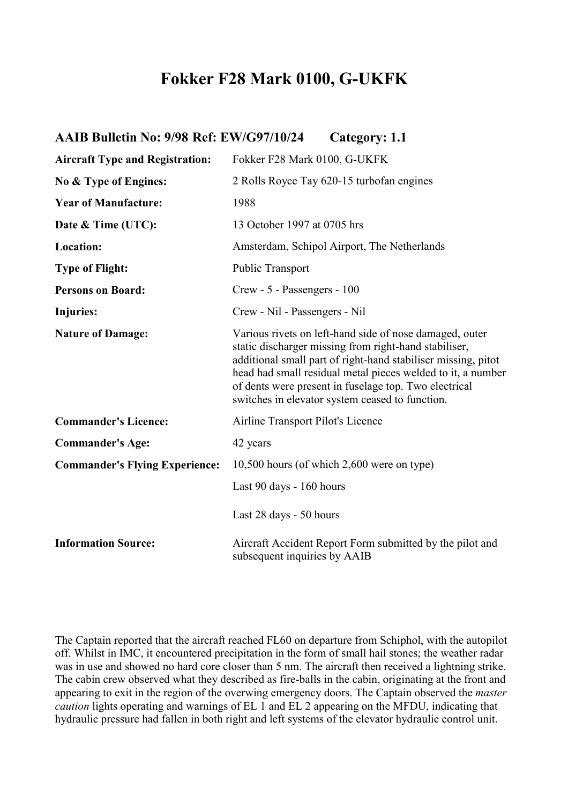# **Fokker F28 Mark 0100, G-UKFK**

| AAIB Bulletin No: 9/98 Ref: EW/G97/10/24 | Category: 1.1                                                                                                                                                                                                                                                                                                                                                |
|------------------------------------------|--------------------------------------------------------------------------------------------------------------------------------------------------------------------------------------------------------------------------------------------------------------------------------------------------------------------------------------------------------------|
| <b>Aircraft Type and Registration:</b>   | Fokker F28 Mark 0100, G-UKFK                                                                                                                                                                                                                                                                                                                                 |
| No & Type of Engines:                    | 2 Rolls Royce Tay 620-15 turbofan engines                                                                                                                                                                                                                                                                                                                    |
| <b>Year of Manufacture:</b>              | 1988                                                                                                                                                                                                                                                                                                                                                         |
| Date & Time (UTC):                       | 13 October 1997 at 0705 hrs                                                                                                                                                                                                                                                                                                                                  |
| Location:                                | Amsterdam, Schipol Airport, The Netherlands                                                                                                                                                                                                                                                                                                                  |
| <b>Type of Flight:</b>                   | <b>Public Transport</b>                                                                                                                                                                                                                                                                                                                                      |
| <b>Persons on Board:</b>                 | Crew - 5 - Passengers - 100                                                                                                                                                                                                                                                                                                                                  |
| <b>Injuries:</b>                         | Crew - Nil - Passengers - Nil                                                                                                                                                                                                                                                                                                                                |
| <b>Nature of Damage:</b>                 | Various rivets on left-hand side of nose damaged, outer<br>static discharger missing from right-hand stabiliser,<br>additional small part of right-hand stabiliser missing, pitot<br>head had small residual metal pieces welded to it, a number<br>of dents were present in fuselage top. Two electrical<br>switches in elevator system ceased to function. |
| <b>Commander's Licence:</b>              | Airline Transport Pilot's Licence                                                                                                                                                                                                                                                                                                                            |
| <b>Commander's Age:</b>                  | 42 years                                                                                                                                                                                                                                                                                                                                                     |
| <b>Commander's Flying Experience:</b>    | $10,500$ hours (of which $2,600$ were on type)                                                                                                                                                                                                                                                                                                               |
|                                          | Last 90 days - 160 hours                                                                                                                                                                                                                                                                                                                                     |
|                                          | Last 28 days - 50 hours                                                                                                                                                                                                                                                                                                                                      |
| <b>Information Source:</b>               | Aircraft Accident Report Form submitted by the pilot and<br>subsequent inquiries by AAIB                                                                                                                                                                                                                                                                     |

The Captain reported that the aircraft reached FL60 on departure from Schiphol, with the autopilot off. Whilst in IMC, it encountered precipitation in the form of small hail stones; the weather radar was in use and showed no hard core closer than 5 nm. The aircraft then received a lightning strike. The cabin crew observed what they described as fire-balls in the cabin, originating at the front and appearing to exit in the region of the overwing emergency doors. The Captain observed the *master caution* lights operating and warnings of EL 1 and EL 2 appearing on the MFDU, indicating that hydraulic pressure had fallen in both right and left systems of the elevator hydraulic control unit.